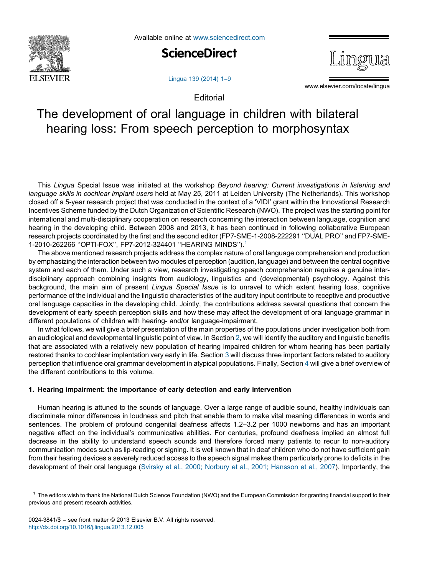

Available online at [www.sciencedirect.com](http://www.sciencedirect.com/science/journal/00243841)





[Lingua](http://dx.doi.org/10.1016/j.lingua.2013.12.005) 139 (2014) 1-9

www.elsevier.com/locate/lingua

Editorial

# The development of oral language in children with bilateral hearing loss: From speech perception to morphosyntax

This Lingua Special Issue was initiated at the workshop Beyond hearing: Current investigations in listening and language skills in cochlear implant users held at May 25, 2011 at Leiden University (The Netherlands). This workshop closed off a 5-year research project that was conducted in the context of a 'VIDI' grant within the Innovational Research Incentives Scheme funded by the Dutch Organization of Scientific Research (NWO). The project was the starting point for international and multi-disciplinary cooperation on research concerning the interaction between language, cognition and hearing in the developing child. Between 2008 and 2013, it has been continued in following collaborative European research projects coordinated by the first and the second editor (FP7-SME-1-2008-222291 ''DUAL PRO'' and FP7-SME-1-2010-262266 ''OPTI-FOX'', FP7-2012-324401 ''HEARING MINDS'').<sup>1</sup>

The above mentioned research projects address the complex nature of oral language comprehension and production by emphasizing the interaction between two modules of perception (audition, language) and between the central cognitive system and each of them. Under such a view, research investigating speech comprehension requires a genuine interdisciplinary approach combining insights from audiology, linguistics and (developmental) psychology. Against this background, the main aim of present Lingua Special Issue is to unravel to which extent hearing loss, cognitive performance of the individual and the linguistic characteristics of the auditory input contribute to receptive and productive oral language capacities in the developing child. Jointly, the contributions address several questions that concern the development of early speech perception skills and how these may affect the development of oral language grammar in different populations of children with hearing- and/or language-impairment.

In what follows, we will give a brief presentation of the main properties of the populations under investigation both from an audiological and developmental linguistic point of view. In Section [2](#page-1-0), we will identify the auditory and linguistic benefits that are associated with a relatively new population of hearing impaired children for whom hearing has been partially restored thanks to cochlear implantation very early in life. Section [3](#page-2-0) will discuss three important factors related to auditory perception that influence oral grammar development in atypical populations. Finally, Section [4](#page-5-0) will give a brief overview of the different contributions to this volume.

## 1. Hearing impairment: the importance of early detection and early intervention

Human hearing is attuned to the sounds of language. Over a large range of audible sound, healthy individuals can discriminate minor differences in loudness and pitch that enable them to make vital meaning differences in words and sentences. The problem of profound congenital deafness affects 1.2-3.2 per 1000 newborns and has an important negative effect on the individual's communicative abilities. For centuries, profound deafness implied an almost full decrease in the ability to understand speech sounds and therefore forced many patients to recur to non-auditory communication modes such as lip-reading or signing. It is well known that in deaf children who do not have sufficient gain from their hearing devices a severely reduced access to the speech signal makes them particularly prone to deficits in the development of their oral language (Svirsky et al., 2000; Norbury et al., 2001; [Hansson](#page-8-0) et al., 2007). Importantly, the

<sup>1</sup> The editors wish to thank the National Dutch Science Foundation (NWO) and the European Commission for granting financial support to their previous and present research activities.

<sup>0024-3841/\$ -</sup> see front matter © 2013 Elsevier B.V. All rights reserved. <http://dx.doi.org/10.1016/j.lingua.2013.12.005>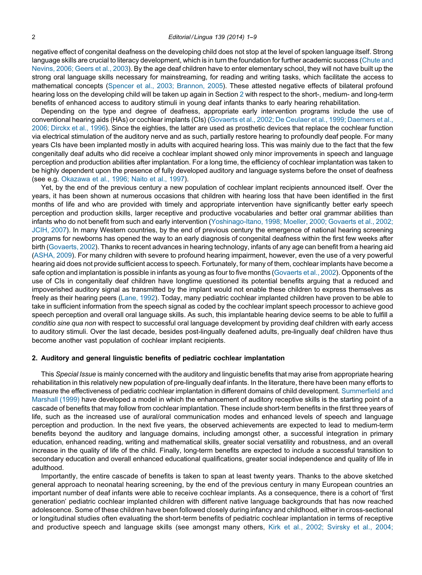<span id="page-1-0"></span>negative effect of congenital deafness on the developing child does not stop at the level of spoken language itself. Strong language skills are crucial to literacy development, which is in turn the foundation for further academic success [\(Chute](#page-6-0) and [Nevins,](#page-6-0) 2006; Geers et al., 2003). By the age deaf children have to enter elementary school, they will not have built up the strong oral language skills necessary for mainstreaming, for reading and writing tasks, which facilitate the access to mathematical concepts (Spencer et al., 2003; [Brannon,](#page-7-0) 2005). These attested negative effects of bilateral profound hearing loss on the developing child will be taken up again in Section 2 with respect to the short-, medium- and long-term benefits of enhanced access to auditory stimuli in young deaf infants thanks to early hearing rehabilitation.

Depending on the type and degree of deafness, appropriate early intervention programs include the use of conventional hearing aids (HAs) or cochlear implants (CIs) (Govaerts et al., 2002; De Ceulaer et al., 1999; [Daemers](#page-7-0) et al., 2006; [Dirckx](#page-7-0) et al., 1996). Since the eighties, the latter are used as prosthetic devices that replace the cochlear function via electrical stimulation of the auditory nerve and as such, partially restore hearing to profoundly deaf people. For many years CIs have been implanted mostly in adults with acquired hearing loss. This was mainly due to the fact that the few congenitally deaf adults who did receive a cochlear implant showed only minor improvements in speech and language perception and production abilities after implantation. For a long time, the efficiency of cochlear implantation was taken to be highly dependent upon the presence of fully developed auditory and language systems before the onset of deafness (see e.g. [Okazawa](#page-7-0) et al., 1996; Naito et al., 1997).

Yet, by the end of the previous century a new population of cochlear implant recipients announced itself. Over the years, it has been shown at numerous occasions that children with hearing loss that have been identified in the first months of life and who are provided with timely and appropriate intervention have significantly better early speech perception and production skills, larger receptive and productive vocabularies and better oral grammar abilities than infants who do not benefit from such and early intervention [\(Yoshinago-Itano,](#page-8-0) 1998; Moeller, 2000; Govaerts et al., 2002; [JCIH,](#page-8-0) 2007). In many Western countries, by the end of previous century the emergence of national hearing screening programs for newborns has opened the way to an early diagnosis of congenital deafness within the first few weeks after birth ([Govaerts,](#page-6-0) 2002). Thanks to recent advances in hearing technology, infants of any age can benefit from a hearing aid [\(ASHA,](#page-6-0) 2009). For many children with severe to profound hearing impairment, however, even the use of a very powerful hearing aid does not provide sufficient access to speech. Fortunately, for many of them, cochlear implants have become a safe option and implantation is possible in infants as young as four to five months ([Govaerts](#page-7-0) et al., 2002). Opponents of the use of CIs in congenitally deaf children have longtime questioned its potential benefits arguing that a reduced and impoverished auditory signal as transmitted by the implant would not enable these children to express themselves as freely as their hearing peers ([Lane,](#page-7-0) 1992). Today, many pediatric cochlear implanted children have proven to be able to take in sufficient information from the speech signal as coded by the cochlear implant speech processor to achieve good speech perception and overall oral language skills. As such, this implantable hearing device seems to be able to fulfill a conditio sine qua non with respect to successful oral language development by providing deaf children with early access to auditory stimuli. Over the last decade, besides post-lingually deafened adults, pre-lingually deaf children have thus become another vast population of cochlear implant recipients.

### 2. Auditory and general linguistic benefits of pediatric cochlear implantation

This Special Issue is mainly concerned with the auditory and linguistic benefits that may arise from appropriate hearing rehabilitation in this relatively new population of pre-lingually deaf infants. In the literature, there have been many efforts to measure the effectiveness of pediatric cochlear implantation in different domains of child development. [Summerfield](#page-8-0) and [Marshall](#page-8-0) (1999) have developed a model in which the enhancement of auditory receptive skills is the starting point of a cascade of benefits that may follow from cochlear implantation. These include short-term benefits in the first three years of life, such as the increased use of aural/oral communication modes and enhanced levels of speech and language perception and production. In the next five years, the observed achievements are expected to lead to medium-term benefits beyond the auditory and language domains, including amongst other, a successful integration in primary education, enhanced reading, writing and mathematical skills, greater social versatility and robustness, and an overall increase in the quality of life of the child. Finally, long-term benefits are expected to include a successful transition to secondary education and overall enhanced educational qualifications, greater social independence and quality of life in adulthood.

Importantly, the entire cascade of benefits is taken to span at least twenty years. Thanks to the above sketched general approach to neonatal hearing screening, by the end of the previous century in many European countries an important number of deaf infants were able to receive cochlear implants. As a consequence, there is a cohort of 'first generation' pediatric cochlear implanted children with different native language backgrounds that has now reached adolescence. Some of these children have been followed closely during infancy and childhood, either in cross-sectional or longitudinal studies often evaluating the short-term benefits of pediatric cochlear implantation in terms of receptive and productive speech and language skills (see amongst many others, Kirk et al., 2002; [Svirsky](#page-7-0) et al., 2004;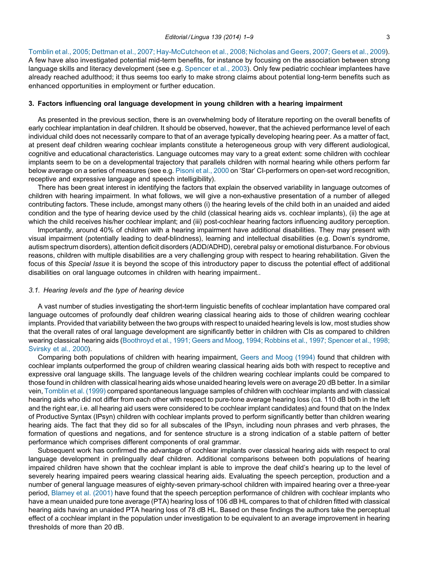<span id="page-2-0"></span>Tomblin et al., 2005; Dettman et al., 2007; [Hay-McCutcheon](#page-7-0) et al., 2008; Nicholas and Geers, 2007; Geers et al., 2009). A few have also investigated potential mid-term benefits, for instance by focusing on the association between strong language skills and literacy development (see e.g. [Spencer](#page-7-0) et al., 2003). Only few pediatric cochlear implantees have already reached adulthood; it thus seems too early to make strong claims about potential long-term benefits such as enhanced opportunities in employment or further education.

## 3. Factors influencing oral language development in young children with a hearing impairment

As presented in the previous section, there is an overwhelming body of literature reporting on the overall benefits of early cochlear implantation in deaf children. It should be observed, however, that the achieved performance level of each individual child does not necessarily compare to that of an average typically developing hearing peer. As a matter of fact, at present deaf children wearing cochlear implants constitute a heterogeneous group with very different audiological, cognitive and educational characteristics. Language outcomes may vary to a great extent: some children with cochlear implants seem to be on a developmental trajectory that parallels children with normal hearing while others perform far below average on a series of measures (see e.g. [Pisoni](#page-7-0) et al., 2000 on 'Star' CI-performers on open-set word recognition, receptive and expressive language and speech intelligibility).

There has been great interest in identifying the factors that explain the observed variability in language outcomes of children with hearing impairment. In what follows, we will give a non-exhaustive presentation of a number of alleged contributing factors. These include, amongst many others (i) the hearing levels of the child both in an unaided and aided condition and the type of hearing device used by the child (classical hearing aids vs. cochlear implants), (ii) the age at which the child receives his/her cochlear implant; and (iii) post-cochlear hearing factors influencing auditory perception.

Importantly, around 40% of children with a hearing impairment have additional disabilities. They may present with visual impairment (potentially leading to deaf-blindness), learning and intellectual disabilities (e.g. Down's syndrome, autism spectrum disorders), attention deficit disorders (ADD/ADHD), cerebral palsy or emotional disturbance. For obvious reasons, children with multiple disabilities are a very challenging group with respect to hearing rehabilitation. Given the focus of this Special Issue it is beyond the scope of this introductory paper to discuss the potential effect of additional disabilities on oral language outcomes in children with hearing impairment..

## 3.1. Hearing levels and the type of hearing device

A vast number of studies investigating the short-term linguistic benefits of cochlear implantation have compared oral language outcomes of profoundly deaf children wearing classical hearing aids to those of children wearing cochlear implants. Provided that variability between the two groups with respect to unaided hearing levels is low, most studies show that the overall rates of oral language development are significantly better in children with CIs as compared to children wearing classical hearing aids [\(Boothroyd](#page-6-0) et al., 1991; Geers and Moog, 1994; Robbins et al., 1997; Spencer et al., 1998; [Svirsky](#page-6-0) et al., 2000).

Comparing both populations of children with hearing impairment, Geers and Moog [\(1994\)](#page-6-0) found that children with cochlear implants outperformed the group of children wearing classical hearing aids both with respect to receptive and expressive oral language skills. The language levels of the children wearing cochlear implants could be compared to those found in children with classical hearing aids whose unaided hearing levels were on average 20 dB better. In a similar vein, [Tomblin](#page-8-0) et al. (1999) compared spontaneous language samples of children with cochlear implants and with classical hearing aids who did not differ from each other with respect to pure-tone average hearing loss (ca. 110 dB both in the left and the right ear, i.e. all hearing aid users were considered to be cochlear implant candidates) and found that on the Index of Productive Syntax (IPsyn) children with cochlear implants proved to perform significantly better than children wearing hearing aids. The fact that they did so for all subscales of the IPsyn, including noun phrases and verb phrases, the formation of questions and negations, and for sentence structure is a strong indication of a stable pattern of better performance which comprises different components of oral grammar.

Subsequent work has confirmed the advantage of cochlear implants over classical hearing aids with respect to oral language development in prelingually deaf children. Additional comparisons between both populations of hearing impaired children have shown that the cochlear implant is able to improve the deaf child's hearing up to the level of severely hearing impaired peers wearing classical hearing aids. Evaluating the speech perception, production and a number of general language measures of eighty-seven primary-school children with impaired hearing over a three-year period, [Blamey](#page-6-0) et al. (2001) have found that the speech perception performance of children with cochlear implants who have a mean unaided pure tone average (PTA) hearing loss of 106 dB HL compares to that of children fitted with classical hearing aids having an unaided PTA hearing loss of 78 dB HL. Based on these findings the authors take the perceptual effect of a cochlear implant in the population under investigation to be equivalent to an average improvement in hearing thresholds of more than 20 dB.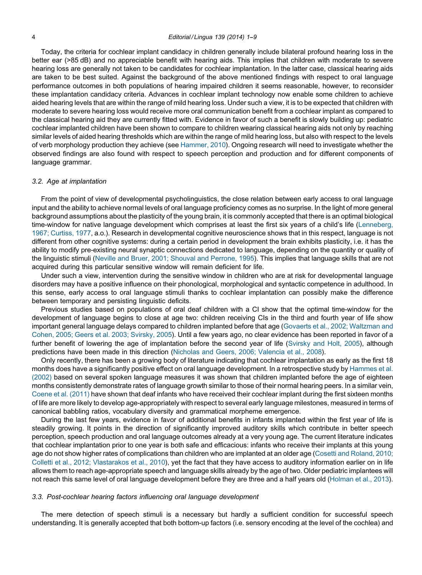#### 4 Editorial / Lingua 139 (2014) 1--9

Today, the criteria for cochlear implant candidacy in children generally include bilateral profound hearing loss in the better ear (>85 dB) and no appreciable benefit with hearing aids. This implies that children with moderate to severe hearing loss are generally not taken to be candidates for cochlear implantation. In the latter case, classical hearing aids are taken to be best suited. Against the background of the above mentioned findings with respect to oral language performance outcomes in both populations of hearing impaired children it seems reasonable, however, to reconsider these implantation candidacy criteria. Advances in cochlear implant technology now enable some children to achieve aided hearing levels that are within the range of mild hearing loss. Under such a view, it is to be expected that children with moderate to severe hearing loss would receive more oral communication benefit from a cochlear implant as compared to the classical hearing aid they are currently fitted with. Evidence in favor of such a benefit is slowly building up: pediatric cochlear implanted children have been shown to compare to children wearing classical hearing aids not only by reaching similar levels of aided hearing thresholds which are within the range of mild hearing loss, but also with respect to the levels of verb morphology production they achieve (see [Hammer,](#page-7-0) 2010). Ongoing research will need to investigate whether the observed findings are also found with respect to speech perception and production and for different components of language grammar.

#### 3.2. Age at implantation

From the point of view of developmental psycholinguistics, the close relation between early access to oral language input and the ability to achieve normal levels of oral language proficiency comes as no surprise. In the light of more general background assumptions about the plasticity of the young brain, it is commonly accepted that there is an optimal biological time-window for native language development which comprises at least the first six years of a child's life [\(Lenneberg,](#page-7-0) 1967; [Curtiss,](#page-7-0) 1977, a.o.). Research in developmental cognitive neuroscience shows that in this respect, language is not different from other cognitive systems: during a certain period in development the brain exhibits plasticity, i.e. it has the ability to modify pre-existing neural synaptic connections dedicated to language, depending on the quantity or quality of the linguistic stimuli (Neville and Bruer, 2001; Shouval and [Perrone,](#page-7-0) 1995). This implies that language skills that are not acquired during this particular sensitive window will remain deficient for life.

Under such a view, intervention during the sensitive window in children who are at risk for developmental language disorders may have a positive influence on their phonological, morphological and syntactic competence in adulthood. In this sense, early access to oral language stimuli thanks to cochlear implantation can possibly make the difference between temporary and persisting linguistic deficits.

Previous studies based on populations of oral deaf children with a CI show that the optimal time-window for the development of language begins to close at age two: children receiving CIs in the third and fourth year of life show important general language delays compared to children implanted before that age (Govaerts et al., 2002; [Waltzman](#page-7-0) and Cohen, 2005; Geers et al. 2003; [Svirsky,](#page-7-0) 2005). Until a few years ago, no clear evidence has been reported in favor of a further benefit of lowering the age of implantation before the second year of life ([Svirsky](#page-8-0) and Holt, 2005), although predictions have been made in this direction [\(Nicholas](#page-7-0) and Geers, 2006; Valencia et al., 2008).

Only recently, there has been a growing body of literature indicating that cochlear implantation as early as the first 18 months does have a significantly positive effect on oral language development. In a retrospective study by [Hammes](#page-7-0) et al. [\(2002\)](#page-7-0) based on several spoken language measures it was shown that children implanted before the age of eighteen months consistently demonstrate rates of language growth similar to those of their normal hearing peers. In a similar vein, [Coene](#page-6-0) et al. (2011) have shown that deaf infants who have received their cochlear implant during the first sixteen months of life are more likely to develop age-appropriately with respect to several early language milestones, measured in terms of canonical babbling ratios, vocabulary diversity and grammatical morpheme emergence.

During the last few years, evidence in favor of additional benefits in infants implanted within the first year of life is steadily growing. It points in the direction of significantly improved auditory skills which contribute in better speech perception, speech production and oral language outcomes already at a very young age. The current literature indicates that cochlear implantation prior to one year is both safe and efficacious: infants who receive their implants at this young age do not show higher rates of complications than children who are implanted at an older age (Cosetti and [Roland,](#page-6-0) 2010; Colletti et al., 2012; [Vlastarakos](#page-6-0) et al., 2010), yet the fact that they have access to auditory information earlier on in life allows them to reach age-appropriate speech and language skills already by the age of two. Older pediatric implantees will not reach this same level of oral language development before they are three and a half years old ([Holman](#page-7-0) et al., 2013).

#### 3.3. Post-cochlear hearing factors influencing oral language development

The mere detection of speech stimuli is a necessary but hardly a sufficient condition for successful speech understanding. It is generally accepted that both bottom-up factors (i.e. sensory encoding at the level of the cochlea) and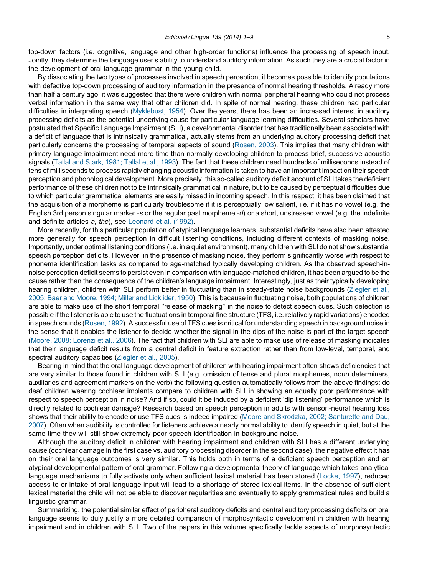top-down factors (i.e. cognitive, language and other high-order functions) influence the processing of speech input. Jointly, they determine the language user's ability to understand auditory information. As such they are a crucial factor in the development of oral language grammar in the young child.

By dissociating the two types of processes involved in speech perception, it becomes possible to identify populations with defective top-down processing of auditory information in the presence of normal hearing thresholds. Already more than half a century ago, it was suggested that there were children with normal peripheral hearing who could not process verbal information in the same way that other children did. In spite of normal hearing, these children had particular difficulties in interpreting speech [\(Myklebust,](#page-7-0) 1954). Over the years, there has been an increased interest in auditory processing deficits as the potential underlying cause for particular language learning difficulties. Several scholars have postulated that Specific Language Impairment (SLI), a developmental disorder that has traditionally been associated with a deficit of language that is intrinsically grammatical, actually stems from an underlying auditory processing deficit that particularly concerns the processing of temporal aspects of sound ([Rosen,](#page-7-0) 2003). This implies that many children with primary language impairment need more time than normally developing children to process brief, successive acoustic signals (Tallal and [Stark,](#page-8-0) 1981; Tallal et al., 1993). The fact that these children need hundreds of milliseconds instead of tens of milliseconds to process rapidly changing acoustic information is taken to have an important impact on their speech perception and phonological development. More precisely, this so-called auditory deficit account of SLI takes the deficient performance of these children not to be intrinsically grammatical in nature, but to be caused by perceptual difficulties due to which particular grammatical elements are easily missed in incoming speech. In this respect, it has been claimed that the acquisition of a morpheme is particularly troublesome if it is perceptually low salient, i.e. if it has no vowel (e.g. the English 3rd person singular marker -s or the regular past morpheme -d) or a short, unstressed vowel (e.g. the indefinite and definite articles a, the), see [Leonard](#page-7-0) et al. (1992).

More recently, for this particular population of atypical language learners, substantial deficits have also been attested more generally for speech perception in difficult listening conditions, including different contexts of masking noise. Importantly, under optimal listening conditions (i.e. in a quiet environment), many children with SLI do not show substantial speech perception deficits. However, in the presence of masking noise, they perform significantly worse with respect to phoneme identification tasks as compared to age-matched typically developing children. As the observed speech-innoise perception deficit seems to persist even in comparison with language-matched children, it has been argued to be the cause rather than the consequence of the children's language impairment. Interestingly, just as their typically developing hearing children, children with SLI perform better in fluctuating than in steady-state noise backgrounds ([Ziegler](#page-8-0) et al., 2005; Baer and Moore, 1994; Miller and [Licklider,](#page-8-0) 1950). This is because in fluctuating noise, both populations of children are able to make use of the short temporal ''release of masking'' in the noise to detect speech cues. Such detection is possible if the listener is able to use the fluctuations in temporal fine structure (TFS, i.e. relatively rapid variations) encoded in speech sounds [\(Rosen,](#page-7-0) 1992). A successful use of TFS cues is critical for understanding speech in background noise in the sense that it enables the listener to decide whether the signal in the dips of the noise is part of the target speech (Moore, 2008; [Lorenzi](#page-7-0) et al., 2006). The fact that children with SLI are able to make use of release of masking indicates that their language deficit results from a central deficit in feature extraction rather than from low-level, temporal, and spectral auditory capacities ([Ziegler](#page-8-0) et al., 2005).

Bearing in mind that the oral language development of children with hearing impairment often shows deficiencies that are very similar to those found in children with SLI (e.g. omission of tense and plural morphemes, noun determiners, auxiliaries and agreement markers on the verb) the following question automatically follows from the above findings: do deaf children wearing cochlear implants compare to children with SLI in showing an equally poor performance with respect to speech perception in noise? And if so, could it be induced by a deficient 'dip listening' performance which is directly related to cochlear damage? Research based on speech perception in adults with sensori-neural hearing loss shows that their ability to encode or use TFS cues is indeed impaired (Moore and Skrodzka, 2002; [Santurette](#page-7-0) and Dau, [2007\)](#page-7-0). Often when audibility is controlled for listeners achieve a nearly normal ability to identify speech in quiet, but at the same time they will still show extremely poor speech identification in background noise.

Although the auditory deficit in children with hearing impairment and children with SLI has a different underlying cause (cochlear damage in the first case vs. auditory processing disorder in the second case), the negative effect it has on their oral language outcomes is very similar. This holds both in terms of a deficient speech perception and an atypical developmental pattern of oral grammar. Following a developmental theory of language which takes analytical language mechanisms to fully activate only when sufficient lexical material has been stored [\(Locke,](#page-7-0) 1997), reduced access to or intake of oral language input will lead to a shortage of stored lexical items. In the absence of sufficient lexical material the child will not be able to discover regularities and eventually to apply grammatical rules and build a linguistic grammar.

Summarizing, the potential similar effect of peripheral auditory deficits and central auditory processing deficits on oral language seems to duly justify a more detailed comparison of morphosyntactic development in children with hearing impairment and in children with SLI. Two of the papers in this volume specifically tackle aspects of morphosyntactic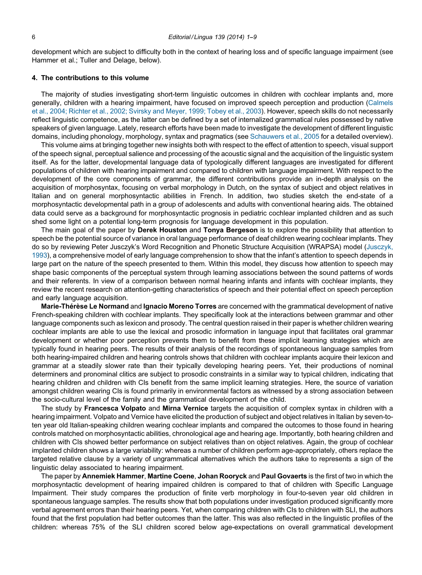<span id="page-5-0"></span>development which are subject to difficulty both in the context of hearing loss and of specific language impairment (see Hammer et al.; Tuller and Delage, below).

## 4. The contributions to this volume

The majority of studies investigating short-term linguistic outcomes in children with cochlear implants and, more generally, children with a hearing impairment, have focused on improved speech perception and production [\(Calmels](#page-6-0) et al., 2004; Richter et al., 2002; [Svirsky](#page-6-0) and Meyer, 1999; Tobey et al., 2003). However, speech skills do not necessarily reflect linguistic competence, as the latter can be defined by a set of internalized grammatical rules possessed by native speakers of given language. Lately, research efforts have been made to investigate the development of different linguistic domains, including phonology, morphology, syntax and pragmatics (see [Schauwers](#page-7-0) et al., 2005 for a detailed overview).

This volume aims at bringing together new insights both with respect to the effect of attention to speech, visual support of the speech signal, perceptual salience and processing of the acoustic signal and the acquisition of the linguistic system itself. As for the latter, developmental language data of typologically different languages are investigated for different populations of children with hearing impairment and compared to children with language impairment. With respect to the development of the core components of grammar, the different contributions provide an in-depth analysis on the acquisition of morphosyntax, focusing on verbal morphology in Dutch, on the syntax of subject and object relatives in Italian and on general morphosyntactic abilities in French. In addition, two studies sketch the end-state of a morphosyntactic developmental path in a group of adolescents and adults with conventional hearing aids. The obtained data could serve as a background for morphosyntactic prognosis in pediatric cochlear implanted children and as such shed some light on a potential long-term prognosis for language development in this population.

The main goal of the paper by Derek Houston and Tonya Bergeson is to explore the possibility that attention to speech be the potential source of variance in oral language performance of deaf children wearing cochlear implants. They do so by reviewing Peter Jusczyk's Word Recognition and Phonetic Structure Acquisition (WRAPSA) model [\(Jusczyk,](#page-7-0) [1993\)](#page-7-0), a comprehensive model of early language comprehension to show that the infant's attention to speech depends in large part on the nature of the speech presented to them. Within this model, they discuss how attention to speech may shape basic components of the perceptual system through learning associations between the sound patterns of words and their referents. In view of a comparison between normal hearing infants and infants with cochlear implants, they review the recent research on attention-getting characteristics of speech and their potential effect on speech perception and early language acquisition.

Marie-Thérèse Le Normand and Ignacio Moreno Torres are concerned with the grammatical development of native French-speaking children with cochlear implants. They specifically look at the interactions between grammar and other language components such as lexicon and prosody. The central question raised in their paper is whether children wearing cochlear implants are able to use the lexical and prosodic information in language input that facilitates oral grammar development or whether poor perception prevents them to benefit from these implicit learning strategies which are typically found in hearing peers. The results of their analysis of the recordings of spontaneous language samples from both hearing-impaired children and hearing controls shows that children with cochlear implants acquire their lexicon and grammar at a steadily slower rate than their typically developing hearing peers. Yet, their productions of nominal determiners and pronominal clitics are subject to prosodic constraints in a similar way to typical children, indicating that hearing children and children with CIs benefit from the same implicit learning strategies. Here, the source of variation amongst children wearing CIs is found primarily in environmental factors as witnessed by a strong association between the socio-cultural level of the family and the grammatical development of the child.

The study by Francesca Volpato and Mirna Vernice targets the acquisition of complex syntax in children with a hearing impairment. Volpato and Vernice have elicited the production of subject and object relatives in Italian by seven-toten year old Italian-speaking children wearing cochlear implants and compared the outcomes to those found in hearing controls matched on morphosyntactic abilities, chronological age and hearing age. Importantly, both hearing children and children with CIs showed better performance on subject relatives than on object relatives. Again, the group of cochlear implanted children shows a large variability: whereas a number of children perform age-appropriately, others replace the targeted relative clause by a variety of ungrammatical alternatives which the authors take to represents a sign of the linguistic delay associated to hearing impairment.

The paper by Annemiek Hammer, Martine Coene, Johan Rooryck and Paul Govaerts is the first of two in which the morphosyntactic development of hearing impaired children is compared to that of children with Specific Language Impairment. Their study compares the production of finite verb morphology in four-to-seven year old children in spontaneous language samples. The results show that both populations under investigation produced significantly more verbal agreement errors than their hearing peers. Yet, when comparing children with CIs to children with SLI, the authors found that the first population had better outcomes than the latter. This was also reflected in the linguistic profiles of the children: whereas 75% of the SLI children scored below age-expectations on overall grammatical development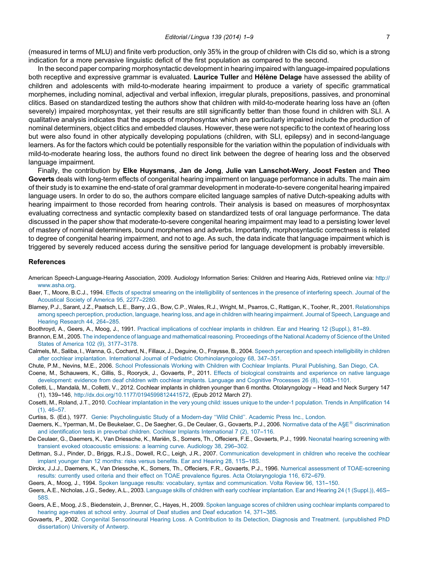<span id="page-6-0"></span>(measured in terms of MLU) and finite verb production, only 35% in the group of children with CIs did so, which is a strong indication for a more pervasive linguistic deficit of the first population as compared to the second.

In the second paper comparing morphosyntactic development in hearing impaired with language-impaired populations both receptive and expressive grammar is evaluated. Laurice Tuller and Hélène Delage have assessed the ability of children and adolescents with mild-to-moderate hearing impairment to produce a variety of specific grammatical morphemes, including nominal, adjectival and verbal inflexion, irregular plurals, prepositions, passives, and pronominal clitics. Based on standardized testing the authors show that children with mild-to-moderate hearing loss have an (often severely) impaired morphosyntax, yet their results are still significantly better than those found in children with SLI. A qualitative analysis indicates that the aspects of morphosyntax which are particularly impaired include the production of nominal determiners, object clitics and embedded clauses. However, these were not specific to the context of hearing loss but were also found in other atypically developing populations (children, with SLI, epilepsy) and in second-language learners. As for the factors which could be potentially responsible for the variation within the population of individuals with mild-to-moderate hearing loss, the authors found no direct link between the degree of hearing loss and the observed language impairment.

Finally, the contribution by Elke Huysmans, Jan de Jong, Julie van Lanschot-Wery, Joost Festen and Theo Goverts deals with long-term effects of congenital hearing impairment on language performance in adults. The main aim of their study is to examine the end-state of oral grammar development in moderate-to-severe congenital hearing impaired language users. In order to do so, the authors compare elicited language samples of native Dutch-speaking adults with hearing impairment to those recorded from hearing controls. Their analysis is based on measures of morphosyntax evaluating correctness and syntactic complexity based on standardized tests of oral language performance. The data discussed in the paper show that moderate-to-severe congenital hearing impairment may lead to a persisting lower level of mastery of nominal determiners, bound morphemes and adverbs. Importantly, morphosyntactic correctness is related to degree of congenital hearing impairment, and not to age. As such, the data indicate that language impairment which is triggered by severely reduced access during the sensitive period for language development is probably irreversible.

#### References

- American Speech-Language-Hearing Association, 2009. Audiology Information Series: Children and Hearing Aids, Retrieved online via: [http://](http://www.asha.org/) [www.asha.org.](http://www.asha.org/)
- Baer, T., Moore, B.C.J., 1994. Effects of spectral smearing on the [intelligibility](http://refhub.elsevier.com/S0024-3841(13)00259-3/sbref0010) of sentences in the presence of interfering speech. Journal of the Acoustical Society of America 95, 2277-2280.
- Blamey, P.J., Sarant, J.Z., Paatsch, L.E., Barry, J.G., Bow, C.P., Wales, R.J., Wright, M., Psarros, C., Rattigan, K., Tooher, R., 2001. [Relationships](http://refhub.elsevier.com/S0024-3841(13)00259-3/sbref0015) among speech perception, production, language, hearing loss, and age in children with hearing [impairment.](http://refhub.elsevier.com/S0024-3841(13)00259-3/sbref0015) Journal of Speech, Language and Hearing [Research](http://refhub.elsevier.com/S0024-3841(13)00259-3/sbref0015) 44, 264-285.
- Boothroyd, A., Geers, A., Moog, J., 1991. Practical [implications](http://refhub.elsevier.com/S0024-3841(13)00259-3/sbref0020) of cochlear implants in children. Ear and Hearing 12 (Suppl.), 81-89.
- Brannon, E.M., 2005. The [independence](http://refhub.elsevier.com/S0024-3841(13)00259-3/sbref0025) of language and mathematical reasoning. Proceedings of the National Academy of Science of the United States of America 102 (9), 3177-3178.
- Calmels, M., Saliba, I., Wanna, G., Cochard, N., Fillaux, J., Deguine, O., Fraysse, B., 2004. Speech perception and speech [intelligibility](http://refhub.elsevier.com/S0024-3841(13)00259-3/sbref0030) in children after cochlear implantation. International Journal of Pediatric [Otorhinolaryngology](http://refhub.elsevier.com/S0024-3841(13)00259-3/sbref0030) 68, 347--351.
- Chute, P.M., Nevins, M.E., 2006. School [Professionals](http://refhub.elsevier.com/S0024-3841(13)00259-3/sbref0035) Working with Children with Cochlear Implants. Plural Publishing, San Diego, CA.
- Coene, M., Schauwers, K., Gillis, S., Rooryck, J., Govaerts, P., 2011. Effects of biological constraints and [experience](http://refhub.elsevier.com/S0024-3841(13)00259-3/sbref0040) on native language [development:](http://refhub.elsevier.com/S0024-3841(13)00259-3/sbref0040) evidence from deaf children with cochlear implants. Language and Cognitive Processes 26 (8), 1083--1101.
- Colletti, L., Mandalà, M., Colletti, V., 2012. Cochlear implants in children younger than 6 months. Otolaryngology Head and Neck Surgery 147 (1), 139--146, [http://dx.doi.org/10.1177/0194599812441572,](http://dx.doi.org/10.1177/0194599812441572) (Epub 2012 March 27).
- Cosetti, M., Roland, J.T., 2010. Cochlear implantation in the very young child: issues unique to the under-1 population. Trends in [Amplification](http://refhub.elsevier.com/S0024-3841(13)00259-3/sbref0050) 14  $(1)$ , 46-57.
- Curtiss, S. (Ed.), 1977. Genie: [Psycholinguistic](http://refhub.elsevier.com/S0024-3841(13)00259-3/sbref0055) Study of a Modern-day ''Wild Child''. Academic Press Inc., London.
- Daemers, K., Yperman, M., De Beukelaer, C., De Saegher, G., De Ceulaer, G., Govaerts, P.J., 2006. [Normative](http://refhub.elsevier.com/S0024-3841(13)00259-3/sbref0060) data of the A§E<sup>®</sup> [discrimination](http://refhub.elsevier.com/S0024-3841(13)00259-3/sbref0060) and [identification](http://refhub.elsevier.com/S0024-3841(13)00259-3/sbref0060) tests in preverbal children. Cochlear Implants International 7 (2), 107-116.
- De Ceulaer, G., Daemers, K., Van Driessche, K., Mariën, S., Somers, Th., Offeciers, F.E., Govaerts, P.J., 1999. Neonatal hearing [screening](http://refhub.elsevier.com/S0024-3841(13)00259-3/sbref0065) with transient evoked [otoacoustic](http://refhub.elsevier.com/S0024-3841(13)00259-3/sbref0065) emissions: a learning curve. Audiology 38, 296-302.
- Dettman, S.J., Pinder, D., Briggs, R.J.S., Dowell, R.C., Leigh, J.R., 2007. [Communication](http://refhub.elsevier.com/S0024-3841(13)00259-3/sbref0070) development in children who receive the cochlear implant younger than 12 months: risks versus benefits. Ear and Hearing 28, 11S-18S.
- Dirckx, J.J.J., Daemers, K., Van Driessche, K., Somers, Th., Offeciers, F.R., Govaerts, P.J., 1996. Numerical assessment of [TOAE-screening](http://refhub.elsevier.com/S0024-3841(13)00259-3/sbref0075) results: currently used criteria and their effect on TOAE prevalence figures. Acta [Otolaryngologia](http://refhub.elsevier.com/S0024-3841(13)00259-3/sbref0075) 116, 672-679.
- Geers, A., Moog, J., 1994. Spoken language results: vocabulary, syntax and [communication.](http://refhub.elsevier.com/S0024-3841(13)00259-3/sbref0080) Volta Review 96, 131--150.
- Geers, A.E., Nicholas, J.G., Sedey, A.L., 2003. Language skills of children with early cochlear [implantation.](http://refhub.elsevier.com/S0024-3841(13)00259-3/sbref0085) Ear and Hearing 24 (1 (Suppl.)), 46S-- [58S](http://refhub.elsevier.com/S0024-3841(13)00259-3/sbref0085).
- Geers, A.E., Moog, J.S., Biedenstein, J., Brenner, C., Hayes, H., 2009. Spoken language scores of children using cochlear implants [compared](http://refhub.elsevier.com/S0024-3841(13)00259-3/sbref0090) to hearing [age-mates](http://refhub.elsevier.com/S0024-3841(13)00259-3/sbref0090) at school entry. Journal of Deaf studies and Deaf education 14, 371-385.
- Govaerts, P., 2002. Congenital [Sensorineural](http://refhub.elsevier.com/S0024-3841(13)00259-3/sbref0095) Hearing Loss. A Contribution to its Detection, Diagnosis and Treatment. (unpublished PhD [dissertation\)](http://refhub.elsevier.com/S0024-3841(13)00259-3/sbref0095) University of Antwerp.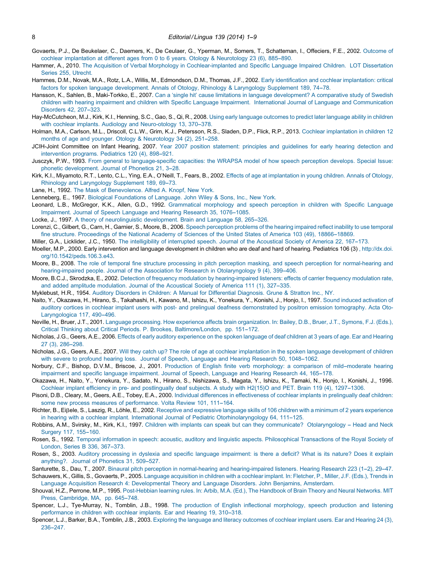- <span id="page-7-0"></span>Govaerts, P.J., De Beukelaer, C., Daemers, K., De Ceulaer, G., Yperman, M., Somers, T., Schatteman, I., Offeciers, F.E., 2002. [Outcome](http://refhub.elsevier.com/S0024-3841(13)00259-3/sbref0100) of cochlear [implantation](http://refhub.elsevier.com/S0024-3841(13)00259-3/sbref0100) at different ages from 0 to 6 years. Otology & Neurotology 23 (6), 885-890.
- Hammer, A., 2010. The Acquisition of Verbal Morphology in [Cochlear-implanted](http://refhub.elsevier.com/S0024-3841(13)00259-3/sbref0105) and Specific Language Impaired Children. LOT Dissertation Series 255, [Utrecht](http://refhub.elsevier.com/S0024-3841(13)00259-3/sbref0105).
- Hammes, D.M., Novak, M.A., Rotz, L.A., Willis, M., Edmondson, D.M., Thomas, J.F., 2002. Early identification and cochlear [implantation:](http://refhub.elsevier.com/S0024-3841(13)00259-3/sbref0110) critical factors for spoken language [development.](http://refhub.elsevier.com/S0024-3841(13)00259-3/sbref0110) Annals of Otology, Rhinology & Laryngology Supplement 189, 74--78.
- Hansson, K., Sahlen, B., Maki-Torkko, E., 2007. Can a 'single hit' cause limitations in language [development?](http://refhub.elsevier.com/S0024-3841(13)00259-3/sbref0115) A comparative study of Swedish children with hearing impairment and children with Specific Language Impairment. International Journal of Language and [Communication](http://refhub.elsevier.com/S0024-3841(13)00259-3/sbref0115) [Disorders](http://refhub.elsevier.com/S0024-3841(13)00259-3/sbref0115) 42, 207-323.
- Hay-McCutcheon, M.J., Kirk, K.I., Henning, S.C., Gao, S., Qi, R., 2008. Using early language [outcomes](http://refhub.elsevier.com/S0024-3841(13)00259-3/sbref0120) to predict later language ability in children with cochlear implants. Audiology and [Neuro-otology](http://refhub.elsevier.com/S0024-3841(13)00259-3/sbref0120) 13, 370-378.
- Holman, M.A., Carlson, M.L., Driscoll, C.L.W., Grim, K.J., Petersson, R.S., Sladen, D.P., Flick, R.P., 2013. Cochlear [implantation](http://refhub.elsevier.com/S0024-3841(13)00259-3/sbref0125) in children 12 months of age and younger. Otology & [Neurotology](http://refhub.elsevier.com/S0024-3841(13)00259-3/sbref0125) 34 (2), 251-258.
- JCIH-Joint Committee on Infant Hearing, 2007. Year 2007 position [statement:](http://refhub.elsevier.com/S0024-3841(13)00259-3/sbref0130) principles and guidelines for early hearing detection and [intervention](http://refhub.elsevier.com/S0024-3841(13)00259-3/sbref0130) programs. Pediatrics 120 (4), 898-921.
- Jusczyk, P.W., 1993. From general to [language-specific](http://refhub.elsevier.com/S0024-3841(13)00259-3/sbref0135) capacities: the WRAPSA model of how speech perception develops. Special Issue: phonetic [development.](http://refhub.elsevier.com/S0024-3841(13)00259-3/sbref0135) Journal of Phonetics 21, 3--28.
- Kirk, K.I., Miyamoto, R.T., Lento, C.L., Ying, E.A., O'Neill, T., Fears, B., 2002. Effects of age at [implantation](http://refhub.elsevier.com/S0024-3841(13)00259-3/sbref0140) in young children. Annals of Otology, Rhinology and [Laryngology](http://refhub.elsevier.com/S0024-3841(13)00259-3/sbref0140) Supplement 189, 69-73.
- Lane, H., 1992. The Mask of [Benevolence.](http://refhub.elsevier.com/S0024-3841(13)00259-3/sbref0145) Alfred A. Knopf, New York.
- Lenneberg, E., 1967. Biological [Foundations](http://refhub.elsevier.com/S0024-3841(13)00259-3/sbref0150) of Language. John Wiley & Sons, Inc., New York.
- Leonard, L.B., McGregor, K.K., Allen, G.D., 1992. [Grammatical](http://refhub.elsevier.com/S0024-3841(13)00259-3/sbref0155) morphology and speech perception in children with Specific Language [Impairment.](http://refhub.elsevier.com/S0024-3841(13)00259-3/sbref0155) Journal of Speech Language and Hearing Research 35, 1076-1085.
- Locke, J., 1997. A theory of [neurolinguistic](http://refhub.elsevier.com/S0024-3841(13)00259-3/sbref0160) development. Brain and Language 58, 265-326.
- Lorenzi, C., Gilbert, G., Carn, H., Garnier, S., Moore, B., 2006. Speech [perception](http://refhub.elsevier.com/S0024-3841(13)00259-3/sbref0165) problems of the hearing impaired reflect inability to use temporal fine structure. Proceedings of the National Academy of Sciences of the United States of America 103 (49), [18866--18869.](http://refhub.elsevier.com/S0024-3841(13)00259-3/sbref0165)
- Miller, G.A., Licklider, J.C., 1950. The [intelligibility](http://refhub.elsevier.com/S0024-3841(13)00259-3/sbref0170) of interrupted speech. Journal of the Acoustical Society of America 22, 167-173.
- Moeller, M.P., 2000. Early intervention and language development in children who are deaf and hard of hearing. Pediatrics 106 (3) , [http://dx.doi.](http://dx.doi.org/10.1542/peds.106.3.e43) [org/10.1542/peds.106.3.e43.](http://dx.doi.org/10.1542/peds.106.3.e43)
- Moore, B., 2008. The role of temporal fine structure processing in pitch perception masking, and speech perception for [normal-hearing](http://refhub.elsevier.com/S0024-3841(13)00259-3/sbref0180) and [hearing-impaired](http://refhub.elsevier.com/S0024-3841(13)00259-3/sbref0180) people. Journal of the Association for Research in Otolaryngology 9 (4), 399-406.
- Moore, B.C.J., Skrodzka, E., 2002. Detection of frequency modulation by [hearing-impaired](http://refhub.elsevier.com/S0024-3841(13)00259-3/sbref0185) listeners: effects of carrier frequency modulation rate, and added amplitude [modulation.](http://refhub.elsevier.com/S0024-3841(13)00259-3/sbref0185) Journal of the Acoustical Society of America 111 (1), 327--335.
- Myklebust, H.R., 1954. Auditory Disorders in Children: A Manual for [Differential](http://refhub.elsevier.com/S0024-3841(13)00259-3/sbref0190) Diagnosis. Grune & Stratton Inc., NY.
- Naito, Y., Okazawa, H., Hirano, S., Takahashi, H., Kawano, M., Ishizu, K., Yonekura, Y., Konishi, J., Honjo, I., 1997. Sound induced [activation](http://refhub.elsevier.com/S0024-3841(13)00259-3/sbref0195) of auditory cortices in cochlear implant users with post- and prelingual deafness [demonstrated](http://refhub.elsevier.com/S0024-3841(13)00259-3/sbref0195) by positron emission tomography. Acta Oto-[Laryngologica](http://refhub.elsevier.com/S0024-3841(13)00259-3/sbref0195) 117, 490-496.
- Neville, H., Bruer, J.T., 2001. Language processing. How experience affects brain [organization.](http://refhub.elsevier.com/S0024-3841(13)00259-3/sbref0200) In: Bailey, D.B., Bruer, J.T., Symons, F.J. (Eds.), Critical Thinking about Critical Periods. P. Brookes, [Baltimore/London,](http://refhub.elsevier.com/S0024-3841(13)00259-3/sbref0200) pp. 151-172.
- Nicholas, J.G., Geers, A.E., 2006. Effects of early auditory [experience](http://refhub.elsevier.com/S0024-3841(13)00259-3/sbref0205) on the spoken language of deaf children at 3 years of age. Ear and Hearing 27 (3), 286-298.
- Nicholas, J.G., Geers, A.E., 2007. Will they catch up? The role of age at cochlear implantation in the spoken language [development](http://refhub.elsevier.com/S0024-3841(13)00259-3/sbref0210) of children with severe to profound hearing loss. Journal of Speech, Language and Hearing Research 50, 1048-1062.
- Norbury, C.F., Bishop, D.V.M., Briscoe, J., 2001. Production of English finite verb morphology: a comparison of [mild--moderate](http://refhub.elsevier.com/S0024-3841(13)00259-3/sbref0215) hearing impairment and specific language [impairment.](http://refhub.elsevier.com/S0024-3841(13)00259-3/sbref0215) Journal of Speech, Language and Hearing Research 44, 165-178.
- Okazawa, H., Naito, Y., Yonekura, Y., Sadato, N., Hirano, S., Nishizawa, S., Magata, Y., Ishizu, K., Tamaki, N., Honjo, I., Konishi, J., 1996. Cochlear implant efficiency in pre- and [postlingually](http://refhub.elsevier.com/S0024-3841(13)00259-3/sbref0220) deaf subjects. A study with H2(15)O and PET. Brain 119 (4), 1297--1306.
- Pisoni, D.B., Cleary, M., Geers, A.E., Tobey, E.A., 2000. Individual differences in [effectiveness](http://refhub.elsevier.com/S0024-3841(13)00259-3/sbref0225) of cochlear implants in prelingually deaf children: some new process measures of [performance.](http://refhub.elsevier.com/S0024-3841(13)00259-3/sbref0225) Volta Review 101, 111-164.
- Richter, B., Eibele, S., Laszig, R., Löhle, E., 2002. Receptive and expressive language skills of 106 children with a minimum of 2 years [experience](http://refhub.elsevier.com/S0024-3841(13)00259-3/sbref0230) in hearing with a cochlear implant. International Journal of Pediatric [Otorhinolaryngology](http://refhub.elsevier.com/S0024-3841(13)00259-3/sbref0230) 64, 111-125.
- Robbins, A.M., Svirsky, M., Kirk, K.I., 1997. Children with implants can speak but can they communicate? [Otolaryngology](http://refhub.elsevier.com/S0024-3841(13)00259-3/sbref0235) Head and Neck Surgery 117, 155-160.
- Rosen, S., 1992. Temporal information in speech: acoustic, auditory and linguistic aspects. [Philosophical](http://refhub.elsevier.com/S0024-3841(13)00259-3/sbref0240) Transactions of the Royal Society of London, Series B 336, 367-373.
- Rosen, S., 2003. Auditory processing in dyslexia and specific language [impairment:](http://refhub.elsevier.com/S0024-3841(13)00259-3/sbref0245) is there a deficit? What is its nature? Does it explain [anything?.](http://refhub.elsevier.com/S0024-3841(13)00259-3/sbref0245) Journal of Phonetics 31, 509-527.
- Santurette, S., Dau, T., 2007. Binaural pitch perception in normal-hearing and [hearing-impaired](http://refhub.elsevier.com/S0024-3841(13)00259-3/sbref0250) listeners. Hearing Research 223 (1-2), 29-47.

Schauwers, K., Gillis, S., Govaerts, P., 2005. Language [acquisition](http://refhub.elsevier.com/S0024-3841(13)00259-3/sbref0255) in children with a cochlear implant. In: Fletcher, P., Miller, J.F. (Eds.), Trends in Language Acquisition Research 4: [Developmental](http://refhub.elsevier.com/S0024-3841(13)00259-3/sbref0255) Theory and Language Disorders. John Benjamins, Amsterdam.

- Shouval, H.Z., Perrone, M.P., 1995. [Post-Hebbian](http://refhub.elsevier.com/S0024-3841(13)00259-3/sbref0260) learning rules. In: Arbib, M.A. (Ed.), The Handbook of Brain Theory and Neural Networks. MIT Press, [Cambridge,](http://refhub.elsevier.com/S0024-3841(13)00259-3/sbref0260) MA, pp. 645-748.
- Spencer, L.J., Tye-Murray, N., Tomblin, J.B., 1998. The production of English inflectional [morphology,](http://refhub.elsevier.com/S0024-3841(13)00259-3/sbref0265) speech production and listening [performance](http://refhub.elsevier.com/S0024-3841(13)00259-3/sbref0265) in children with cochlear implants. Ear and Hearing 19, 310-318.
- Spencer, L.J., Barker, B.A., Tomblin, J.B., 2003. Exploring the language and literacy [outcomes](http://refhub.elsevier.com/S0024-3841(13)00259-3/sbref0270) of cochlear implant users. Ear and Hearing 24 (3),  $236 - 247$